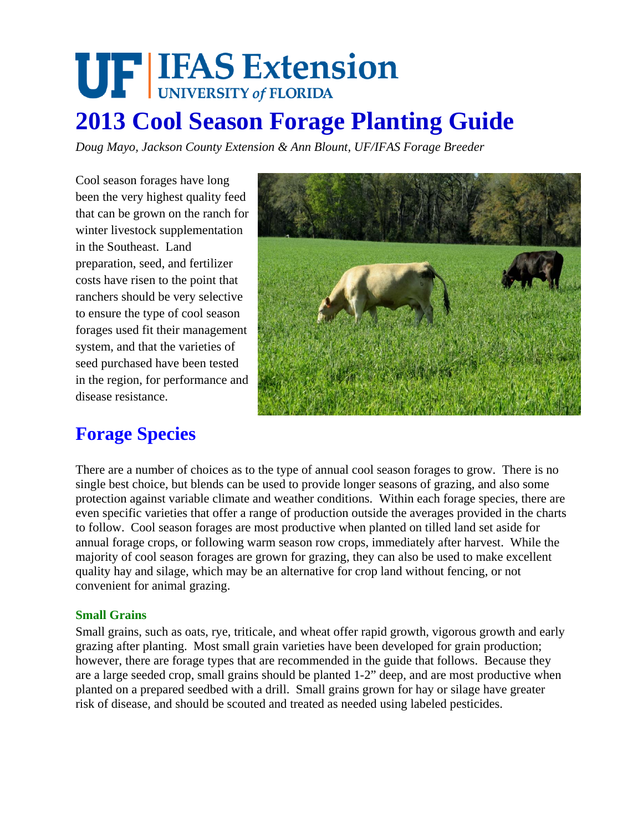# **UF IFAS Extension 2013 Cool Season Forage Planting Guide**

*Doug Mayo, Jackson County Extension & Ann Blount, UF/IFAS Forage Breeder* 

Cool season forages have long been the very highest quality feed that can be grown on the ranch for winter livestock supplementation in the Southeast. Land preparation, seed, and fertilizer costs have risen to the point that ranchers should be very selective to ensure the type of cool season forages used fit their management system, and that the varieties of seed purchased have been tested in the region, for performance and disease resistance.



## **Forage Species**

There are a number of choices as to the type of annual cool season forages to grow. There is no single best choice, but blends can be used to provide longer seasons of grazing, and also some protection against variable climate and weather conditions. Within each forage species, there are even specific varieties that offer a range of production outside the averages provided in the charts to follow. Cool season forages are most productive when planted on tilled land set aside for annual forage crops, or following warm season row crops, immediately after harvest. While the majority of cool season forages are grown for grazing, they can also be used to make excellent quality hay and silage, which may be an alternative for crop land without fencing, or not convenient for animal grazing.

### **Small Grains**

Small grains, such as oats, rye, triticale, and wheat offer rapid growth, vigorous growth and early grazing after planting. Most small grain varieties have been developed for grain production; however, there are forage types that are recommended in the guide that follows. Because they are a large seeded crop, small grains should be planted 1-2" deep, and are most productive when planted on a prepared seedbed with a drill. Small grains grown for hay or silage have greater risk of disease, and should be scouted and treated as needed using labeled pesticides.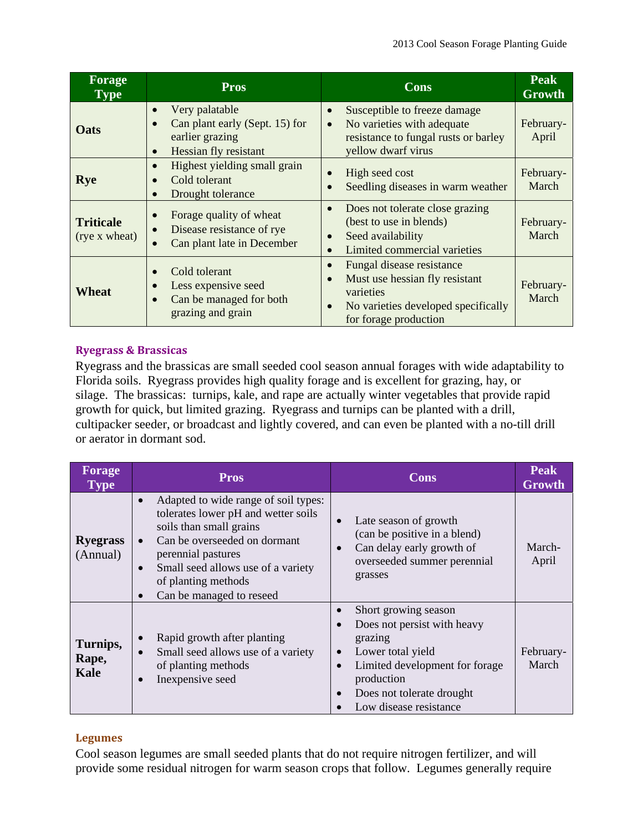| Forage<br><b>Type</b>             | <b>Pros</b>                                                                                                            | Cons                                                                                                                                     | <b>Peak</b><br>Growth |
|-----------------------------------|------------------------------------------------------------------------------------------------------------------------|------------------------------------------------------------------------------------------------------------------------------------------|-----------------------|
| <b>Oats</b>                       | Very palatable<br>$\bullet$<br>Can plant early (Sept. 15) for<br>earlier grazing<br>Hessian fly resistant<br>$\bullet$ | Susceptible to freeze damage<br>No varieties with adequate<br>resistance to fungal rusts or barley<br>yellow dwarf virus                 | February-<br>April    |
| <b>Rye</b>                        | Highest yielding small grain<br>Cold tolerant<br>Drought tolerance<br>$\bullet$                                        | High seed cost<br>Seedling diseases in warm weather                                                                                      | February-<br>March    |
| <b>Triticale</b><br>(rye x wheat) | Forage quality of wheat<br>Disease resistance of rye<br>Can plant late in December                                     | Does not tolerate close grazing<br>$\bullet$<br>(best to use in blends)<br>Seed availability<br>Limited commercial varieties             | February-<br>March    |
| <b>Wheat</b>                      | Cold tolerant<br>Less expensive seed<br>Can be managed for both<br>grazing and grain                                   | Fungal disease resistance<br>Must use hessian fly resistant<br>varieties<br>No varieties developed specifically<br>for forage production | February-<br>March    |

### **Ryegrass & Brassicas**

Ryegrass and the brassicas are small seeded cool season annual forages with wide adaptability to Florida soils. Ryegrass provides high quality forage and is excellent for grazing, hay, or silage. The brassicas: turnips, kale, and rape are actually winter vegetables that provide rapid growth for quick, but limited grazing. Ryegrass and turnips can be planted with a drill, cultipacker seeder, or broadcast and lightly covered, and can even be planted with a no-till drill or aerator in dormant sod.

| Forage<br><b>Type</b>       | <b>Pros</b>                                                                                                                                                                                                                                                                                               | <b>Cons</b>                                                                                                                                                                                                                                    |                    |  |
|-----------------------------|-----------------------------------------------------------------------------------------------------------------------------------------------------------------------------------------------------------------------------------------------------------------------------------------------------------|------------------------------------------------------------------------------------------------------------------------------------------------------------------------------------------------------------------------------------------------|--------------------|--|
| <b>Ryegrass</b><br>(Annual) | Adapted to wide range of soil types:<br>$\bullet$<br>tolerates lower pH and wetter soils<br>soils than small grains<br>Can be overseeded on dormant<br>$\bullet$<br>perennial pastures<br>Small seed allows use of a variety<br>$\bullet$<br>of planting methods<br>Can be managed to reseed<br>$\bullet$ | Late season of growth<br>$\bullet$<br>(can be positive in a blend)<br>Can delay early growth of<br>$\bullet$<br>overseeded summer perennial<br>grasses                                                                                         | March-<br>April    |  |
| Turnips,<br>Rape,<br>Kale   | Rapid growth after planting<br>$\bullet$<br>Small seed allows use of a variety<br>$\bullet$<br>of planting methods<br>Inexpensive seed                                                                                                                                                                    | Short growing season<br>Does not persist with heavy<br>$\bullet$<br>grazing<br>Lower total yield<br>$\bullet$<br>Limited development for forage<br>$\bullet$<br>production<br>Does not tolerate drought<br>$\bullet$<br>Low disease resistance | February-<br>March |  |

### **Legumes**

Cool season legumes are small seeded plants that do not require nitrogen fertilizer, and will provide some residual nitrogen for warm season crops that follow. Legumes generally require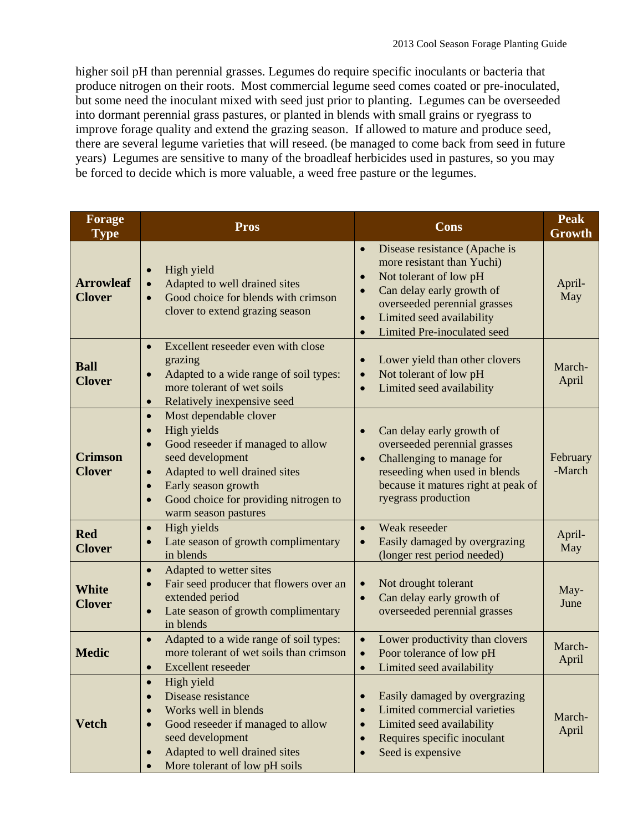higher soil pH than perennial grasses. Legumes do require specific inoculants or bacteria that produce nitrogen on their roots. Most commercial legume seed comes coated or pre-inoculated, but some need the inoculant mixed with seed just prior to planting. Legumes can be overseeded into dormant perennial grass pastures, or planted in blends with small grains or ryegrass to improve forage quality and extend the grazing season. If allowed to mature and produce seed, there are several legume varieties that will reseed. (be managed to come back from seed in future years) Legumes are sensitive to many of the broadleaf herbicides used in pastures, so you may be forced to decide which is more valuable, a weed free pasture or the legumes.

| <b>Forage</b><br><b>Type</b>      | <b>Pros</b>                                                                                                                                                                                                                                                                                           | Cons                                                                                                                                                                                                                                                                            | <b>Peak</b><br>Growth |
|-----------------------------------|-------------------------------------------------------------------------------------------------------------------------------------------------------------------------------------------------------------------------------------------------------------------------------------------------------|---------------------------------------------------------------------------------------------------------------------------------------------------------------------------------------------------------------------------------------------------------------------------------|-----------------------|
| <b>Arrowleaf</b><br><b>Clover</b> | High yield<br>$\bullet$<br>Adapted to well drained sites<br>$\bullet$<br>Good choice for blends with crimson<br>clover to extend grazing season                                                                                                                                                       | Disease resistance (Apache is<br>$\bullet$<br>more resistant than Yuchi)<br>Not tolerant of low pH<br>$\bullet$<br>Can delay early growth of<br>$\bullet$<br>overseeded perennial grasses<br>Limited seed availability<br>$\bullet$<br>Limited Pre-inoculated seed<br>$\bullet$ | April-<br>May         |
| <b>Ball</b><br><b>Clover</b>      | Excellent reseeder even with close<br>$\bullet$<br>grazing<br>Adapted to a wide range of soil types:<br>$\bullet$<br>more tolerant of wet soils<br>Relatively inexpensive seed<br>$\bullet$                                                                                                           | Lower yield than other clovers<br>$\bullet$<br>Not tolerant of low pH<br>$\bullet$<br>Limited seed availability<br>$\bullet$                                                                                                                                                    | March-<br>April       |
| <b>Crimson</b><br><b>Clover</b>   | Most dependable clover<br>$\bullet$<br>High yields<br>$\bullet$<br>Good reseeder if managed to allow<br>$\bullet$<br>seed development<br>Adapted to well drained sites<br>$\bullet$<br>Early season growth<br>$\bullet$<br>Good choice for providing nitrogen to<br>$\bullet$<br>warm season pastures | Can delay early growth of<br>$\bullet$<br>overseeded perennial grasses<br>Challenging to manage for<br>$\bullet$<br>reseeding when used in blends<br>because it matures right at peak of<br>ryegrass production                                                                 | February<br>-March    |
| <b>Red</b><br><b>Clover</b>       | High yields<br>$\bullet$<br>Late season of growth complimentary<br>in blends                                                                                                                                                                                                                          | Weak reseeder<br>$\bullet$<br>Easily damaged by overgrazing<br>$\bullet$<br>(longer rest period needed)                                                                                                                                                                         | April-<br>May         |
| <b>White</b><br><b>Clover</b>     | Adapted to wetter sites<br>$\bullet$<br>Fair seed producer that flowers over an<br>$\bullet$<br>extended period<br>Late season of growth complimentary<br>$\bullet$<br>in blends                                                                                                                      | Not drought tolerant<br>$\bullet$<br>Can delay early growth of<br>$\bullet$<br>overseeded perennial grasses                                                                                                                                                                     | May-<br>June          |
| <b>Medic</b>                      | Adapted to a wide range of soil types:<br>$\bullet$<br>more tolerant of wet soils than crimson<br>Excellent reseeder<br>$\bullet$                                                                                                                                                                     | Lower productivity than clovers<br>$\bullet$<br>Poor tolerance of low pH<br>$\bullet$<br>Limited seed availability<br>$\bullet$                                                                                                                                                 | March-<br>April       |
| <b>Vetch</b>                      | High yield<br>Disease resistance<br>$\bullet$<br>Works well in blends<br>$\bullet$<br>Good reseeder if managed to allow<br>$\bullet$<br>seed development<br>Adapted to well drained sites<br>$\bullet$<br>More tolerant of low pH soils                                                               | Easily damaged by overgrazing<br>$\bullet$<br>Limited commercial varieties<br>$\bullet$<br>Limited seed availability<br>$\bullet$<br>Requires specific inoculant<br>$\bullet$<br>Seed is expensive                                                                              | March-<br>April       |